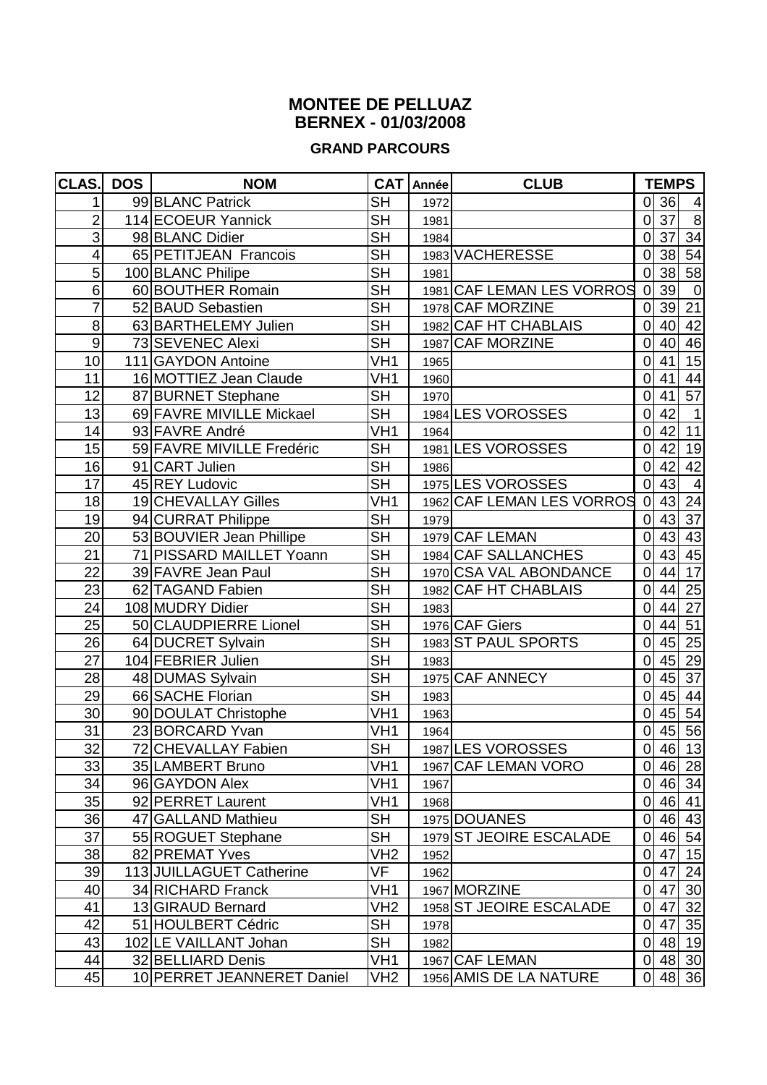## **MONTEE DE PELLUAZ BERNEX - 01/03/2008**

## **GRAND PARCOURS**

| CLAS.           | <b>DOS</b> | <b>NOM</b>                 |                          | CAT Année | <b>CLUB</b>               |                | <b>TEMPS</b> |                  |
|-----------------|------------|----------------------------|--------------------------|-----------|---------------------------|----------------|--------------|------------------|
|                 |            | 99 BLANC Patrick           | $\overline{\mathsf{SH}}$ | 1972      |                           | 0l             | 36           | 4                |
| $\overline{2}$  |            | 114 ECOEUR Yannick         | <b>SH</b>                | 1981      |                           | 0              | 37           | $\, 8$           |
| 3               |            | 98 BLANC Didier            | $\overline{\mathsf{SH}}$ | 1984      |                           | $\overline{0}$ | 37           | 34               |
| 4               |            | 65 PETITJEAN Francois      | $\overline{\mathsf{SH}}$ |           | 1983 VACHERESSE           | $\mathbf 0$    |              | 38 54            |
| 5               |            | 100 BLANC Philipe          | $\overline{\mathsf{SH}}$ | 1981      |                           | 0              | 38           | 58               |
| 6               |            | 60 BOUTHER Romain          | <b>SH</b>                |           | 1981 CAF LEMAN LES VORROS | $\overline{0}$ | 39           | $\boldsymbol{0}$ |
| $\overline{7}$  |            | 52 BAUD Sebastien          | $\overline{\mathsf{SH}}$ |           | 1978 CAF MORZINE          | $\mathbf 0$    | 39           | 21               |
| 8               |            | 63 BARTHELEMY Julien       | $\overline{\mathsf{SH}}$ |           | 1982 CAF HT CHABLAIS      | 0              | 40           | 42               |
| 9               |            | 73 SEVENEC Alexi           | $\overline{\mathsf{SH}}$ |           | 1987 CAF MORZINE          | 0              | 40           | 46               |
| 10              |            | 111 GAYDON Antoine         | VH <sub>1</sub>          | 1965      |                           | 0              | 41           | 15               |
| 11              |            | 16 MOTTIEZ Jean Claude     | VH <sub>1</sub>          | 1960      |                           | $\overline{0}$ | 41           | 44               |
| 12              |            | 87 BURNET Stephane         | $\overline{\mathsf{SH}}$ | 1970      |                           | 0              | 41           | 57               |
| 13              |            | 69 FAVRE MIVILLE Mickael   | $\overline{\mathsf{SH}}$ |           | 1984 LES VOROSSES         | 0              | 42           | $\mathbf{1}$     |
| 14              |            | 93 FAVRE André             | VH <sub>1</sub>          | 1964      |                           | 0              | 42           | 11               |
| 15              |            | 59 FAVRE MIVILLE Fredéric  | $\overline{\mathsf{SH}}$ |           | 1981 LES VOROSSES         | 0              | 42           | 19               |
| 16              |            | 91 CART Julien             | $\overline{\mathsf{SH}}$ | 1986      |                           | 0              | 42           | 42               |
| 17              |            | 45 REY Ludovic             | $\overline{\mathsf{SH}}$ |           | 1975 LES VOROSSES         | $\overline{0}$ | 43           | $\overline{4}$   |
| 18              |            | 19 CHEVALLAY Gilles        | VH <sub>1</sub>          |           | 1962 CAF LEMAN LES VORROS | $\overline{0}$ | 43           | 24               |
| 19              |            | 94 CURRAT Philippe         | $\overline{\mathsf{SH}}$ | 1979      |                           | $\overline{0}$ | 43           | 37               |
| 20              |            | 53 BOUVIER Jean Phillipe   | <b>SH</b>                |           | 1979 CAF LEMAN            | $\overline{0}$ |              | 43 43            |
| $\overline{21}$ |            | 71 PISSARD MAILLET Yoann   | $\overline{\mathsf{SH}}$ |           | 1984 CAF SALLANCHES       | $\overline{0}$ | 43           | 45               |
| 22              |            | 39 FAVRE Jean Paul         | $\overline{\mathsf{SH}}$ |           | 1970 CSA VAL ABONDANCE    | $\overline{0}$ | 44           | 17               |
| 23              |            | 62 TAGAND Fabien           | $\overline{\mathsf{SH}}$ |           | 1982 CAF HT CHABLAIS      | 0              | 44           | 25               |
| 24              |            | 108 MUDRY Didier           | <b>SH</b>                | 1983      |                           | $\overline{0}$ | 44           | 27               |
| 25              |            | 50 CLAUDPIERRE Lionel      | $\overline{\mathsf{SH}}$ |           | 1976 CAF Giers            | $\mathbf 0$    | 44           | 51               |
| 26              |            | 64 DUCRET Sylvain          | $\overline{\mathsf{SH}}$ |           | 1983 ST PAUL SPORTS       | $\mathbf 0$    | 45           | 25               |
| $\overline{27}$ |            | 104 FEBRIER Julien         | <b>SH</b>                | 1983      |                           | 0              | 45           | 29               |
| 28              |            | 48 DUMAS Sylvain           | SH                       |           | 1975 CAF ANNECY           | $\overline{0}$ | 45           | 37               |
| 29              |            | 66 SACHE Florian           | $\overline{\mathsf{SH}}$ | 1983      |                           | $\mathbf 0$    | 45           | 44               |
| 30              |            | 90 DOULAT Christophe       | $\overline{V}$ H1        | 1963      |                           | 0              |              | 45 54            |
| $\overline{31}$ |            | 23 BORCARD Yvan            | VH1                      | 1964      |                           | 0              |              | 45 56            |
| $\overline{32}$ |            | 72 CHEVALLAY Fabien        | $\overline{\mathsf{SH}}$ |           | 1987 LES VOROSSES         |                |              | 0 46 13          |
| 33              |            | 35 LAMBERT Bruno           | VH <sub>1</sub>          |           | 1967 CAF LEMAN VORO       | $\overline{0}$ |              | 46 28            |
| 34              |            | 96 GAYDON Alex             | VH1                      | 1967      |                           | $\overline{0}$ |              | 46 34            |
| 35              |            | 92 PERRET Laurent          | VH1                      | 1968      |                           | 0l             |              | 46 41            |
| 36              |            | 47 GALLAND Mathieu         | <b>SH</b>                |           | 1975 DOUANES              | $\overline{0}$ |              | 46 43            |
| 37              |            | 55 ROGUET Stephane         | SH                       |           | 1979 ST JEOIRE ESCALADE   | 0              |              | 46 54            |
| 38              |            | 82 PREMAT Yves             | VH <sub>2</sub>          | 1952      |                           | $\overline{0}$ | 47           | 15               |
| 39              |            | 113 JUILLAGUET Catherine   | VF                       | 1962      |                           | $\overline{0}$ | 47           | 24               |
| 40              |            | 34 RICHARD Franck          | VH1                      |           | 1967 MORZINE              | $\overline{0}$ | 47           | 30               |
| 41              |            | 13 GIRAUD Bernard          | VH <sub>2</sub>          |           | 1958 ST JEOIRE ESCALADE   | $\overline{0}$ | 47           | 32               |
| 42              |            | 51 HOULBERT Cédric         | <b>SH</b>                | 1978      |                           | $\overline{0}$ |              | 47 35            |
| 43              |            | 102 LE VAILLANT Johan      | <b>SH</b>                | 1982      |                           | $\overline{O}$ |              | 48 19            |
| 44              |            | 32 BELLIARD Denis          | VH <sub>1</sub>          |           | 1967 CAF LEMAN            | $\overline{0}$ |              | 48 30            |
| 45              |            | 10 PERRET JEANNERET Daniel | VH <sub>2</sub>          |           | 1956 AMIS DE LA NATURE    | $\overline{0}$ |              | 48 36            |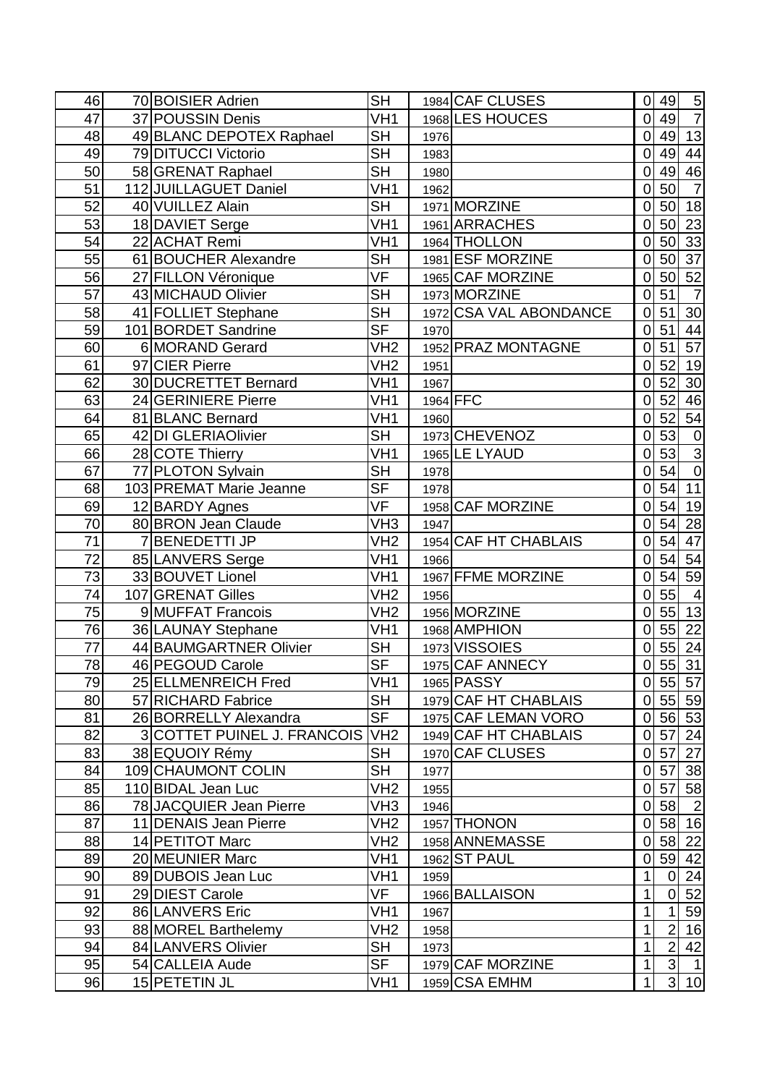| $\overline{7}$<br>47<br>VH <sub>1</sub><br>49<br>37 POUSSIN Denis<br>1968 LES HOUCES<br>$\overline{O}$<br><b>SH</b><br>13<br>49<br>48<br>49 BLANC DEPOTEX Raphael<br>$\overline{0}$<br>1976<br>$\overline{\mathsf{SH}}$<br>79 DITUCCI Victorio<br>49<br>44<br>49<br>1983<br>$\overline{0}$<br><b>SH</b><br>46<br>50<br>49<br>58 GRENAT Raphael<br>$\overline{0}$<br>1980<br>50<br>$\overline{7}$<br>VH <sub>1</sub><br>51<br>112 JUILLAGUET Daniel<br>$\overline{0}$<br>1962<br>$\overline{\mathsf{SH}}$<br>50<br>52<br>40 VUILLEZ Alain<br>18<br>1971 MORZINE<br>$\mathbf 0$<br>VH <sub>1</sub><br>50<br>23<br>53<br>18 DAVIET Serge<br>1961 ARRACHES<br>$\overline{0}$<br>54<br>33<br>50<br>22 ACHAT Remi<br>VH <sub>1</sub><br>1964 THOLLON<br>$\overline{0}$<br>$\overline{37}$<br>$\overline{\mathsf{SH}}$<br>61 BOUCHER Alexandre<br>50<br>55<br>1981 ESF MORZINE<br>$\mathbf 0$<br>VF<br>50<br>52<br>56<br>27 FILLON Véronique<br>1965 CAF MORZINE<br>$\overline{0}$<br>$\overline{57}$<br><b>SH</b><br>51<br>$\overline{7}$<br>43 MICHAUD Olivier<br>1973 MORZINE<br>0<br>$\overline{\mathsf{SH}}$<br>41 FOLLIET Stephane<br>51<br>58<br>1972 CSA VAL ABONDANCE<br>$30\,$<br>$\overline{0}$<br>$\overline{\mathsf{SF}}$<br>$\overline{51}$<br>44<br>59<br>101 BORDET Sandrine<br>$\mathbf 0$<br>1970<br>57<br>$\overline{51}$<br>VH <sub>2</sub><br>60<br>6 MORAND Gerard<br>1952 PRAZ MONTAGNE<br>$\Omega$<br>52<br>61<br>19<br>97 CIER Pierre<br>VH <sub>2</sub><br>$\Omega$<br>1951<br>$\overline{30}$<br>52<br>62<br>30 DUCRETTET Bernard<br>VH1<br>$\overline{0}$<br>1967<br>52<br>1964 FFC<br>VH <sub>1</sub><br>46<br>63<br>24 GERINIERE Pierre<br>$\overline{0}$<br>54<br>52<br>64<br>VH <sub>1</sub><br>81 BLANC Bernard<br>0<br>1960<br><b>SH</b><br>53<br>1973 CHEVENOZ<br>65<br>42 DI GLERIAOlivier<br>$\frac{0}{3}$<br>$\mathbf 0$<br>$\overline{V}$ H <sub>1</sub><br>53<br>1965 LE LYAUD<br>28 COTE Thierry<br>66<br>$\mathbf 0$<br>$\overline{\mathsf{SH}}$<br>$\overline{54}$<br>77 PLOTON Sylvain<br>67<br>$\mathbf 0$<br>1978<br>$\overline{\mathsf{SF}}$<br>$\overline{11}$<br>54<br>68<br>103 PREMAT Marie Jeanne<br>$\overline{0}$<br>1978<br>VF<br>54<br>19<br>12 BARDY Agnes<br>1958 CAF MORZINE<br>69<br>$\overline{0}$<br>VH <sub>3</sub><br>54<br>28<br>70<br>80 BRON Jean Claude<br>$\overline{0}$<br>1947<br>$\overline{71}$<br>54<br>$\overline{47}$<br>$\overline{7}$<br>VH <sub>2</sub><br><b>BENEDETTI JP</b><br>1954 CAF HT CHABLAIS<br>0<br>72<br>54<br>54<br>VH1<br>85 LANVERS Serge<br>$\overline{0}$<br>1966<br>54<br>59<br>73<br>33 BOUVET Lionel<br>VH <sub>1</sub><br>1967 FFME MORZINE<br>$\mathbf 0$<br>55<br>107 GRENAT Gilles<br>VH <sub>2</sub><br>74<br>$\overline{4}$<br>1956<br>$\mathbf 0$<br>55<br>13<br>75<br>9 MUFFAT Francois<br>VH <sub>2</sub><br>1956 MORZINE<br>$\overline{0}$<br>55<br>22<br>76<br>36 LAUNAY Stephane<br>VH1<br>1968 AMPHION<br>$\overline{0}$<br>$\overline{\mathsf{SH}}$<br>55<br>24<br>77<br>44 BAUMGARTNER Olivier<br>1973 VISSOIES<br>$\overline{0}$<br>$\overline{\mathsf{SF}}$<br>$0$ 55 31<br>78<br>46 PEGOUD Carole<br>1975 CAF ANNECY<br>25 ELLMENREICH Fred<br>VH <sub>1</sub><br>1965 PASSY<br>79<br>55<br>57<br> 0 <br><b>SH</b><br>55 59<br>57 RICHARD Fabrice<br>1979 CAF HT CHABLAIS<br>80<br>$\overline{0}$<br>SF<br>56 53<br>1975 CAF LEMAN VORO<br>81<br>26 BORRELLY Alexandra<br>$\overline{0}$<br>82<br>VH <sub>2</sub><br>24<br>3 COTTET PUINEL J. FRANCOIS<br>1949 CAF HT CHABLAIS<br>57<br>$\mathbf 0$<br><b>SH</b><br>57<br>27<br>83<br>38 EQUOIY Rémy<br>1970 CAF CLUSES<br> 0 <br>SH<br>57<br>38<br>84<br>109 CHAUMONT COLIN<br>$\overline{0}$<br>1977<br>58<br>VH <sub>2</sub><br>57<br>85<br>110 BIDAL Jean Luc<br>1955<br>$\mathbf 0$<br>58<br>86<br>$\overline{2}$<br>78 JACQUIER Jean Pierre<br>VH3<br>1946<br>$\mathbf 0$<br>58<br>16<br>87<br>VH <sub>2</sub><br>11 DENAIS Jean Pierre<br>1957 THONON<br>$\overline{0}$<br>VH <sub>2</sub><br>14 PETITOT Marc<br>58<br>22<br>88<br>1958 ANNEMASSE<br> 0 <br>VH <sub>1</sub><br>59<br>42<br>89<br>20 MEUNIER Marc<br>1962 ST PAUL<br>0<br>24<br>90<br>89 DUBOIS Jean Luc<br>VH1<br>$\mathbf{1}$<br>$\overline{0}$<br>1959<br>VF<br>52<br>1966 BALLAISON<br>$\mathbf{1}$<br>91<br>29 DIEST Carole<br>$\overline{0}$<br>92<br>VH1<br>1<br>59<br>86 LANVERS Eric<br>1967<br>16<br>93<br>VH <sub>2</sub><br>$\mathbf{1}$<br>88 MOREL Barthelemy<br>$\overline{2}$<br>1958<br><b>SH</b><br>$\mathbf{1}$<br>42<br>94<br>84 LANVERS Olivier<br>$\overline{2}$<br>1973<br><b>SF</b><br>$\mathbf{1}$<br>$\overline{3}$<br>54 CALLEIA Aude<br>1979 CAF MORZINE<br>$\overline{1}$<br>95 | 46 | 70 BOISIER Adrien | <b>SH</b> | 1984 CAF CLUSES | $\Omega$     | 49             | $\overline{5}$ |
|--------------------------------------------------------------------------------------------------------------------------------------------------------------------------------------------------------------------------------------------------------------------------------------------------------------------------------------------------------------------------------------------------------------------------------------------------------------------------------------------------------------------------------------------------------------------------------------------------------------------------------------------------------------------------------------------------------------------------------------------------------------------------------------------------------------------------------------------------------------------------------------------------------------------------------------------------------------------------------------------------------------------------------------------------------------------------------------------------------------------------------------------------------------------------------------------------------------------------------------------------------------------------------------------------------------------------------------------------------------------------------------------------------------------------------------------------------------------------------------------------------------------------------------------------------------------------------------------------------------------------------------------------------------------------------------------------------------------------------------------------------------------------------------------------------------------------------------------------------------------------------------------------------------------------------------------------------------------------------------------------------------------------------------------------------------------------------------------------------------------------------------------------------------------------------------------------------------------------------------------------------------------------------------------------------------------------------------------------------------------------------------------------------------------------------------------------------------------------------------------------------------------------------------------------------------------------------------------------------------------------------------------------------------------------------------------------------------------------------------------------------------------------------------------------------------------------------------------------------------------------------------------------------------------------------------------------------------------------------------------------------------------------------------------------------------------------------------------------------------------------------------------------------------------------------------------------------------------------------------------------------------------------------------------------------------------------------------------------------------------------------------------------------------------------------------------------------------------------------------------------------------------------------------------------------------------------------------------------------------------------------------------------------------------------------------------------------------------------------------------------------------------------------------------------------------------------------------------------------------------------------------------------------------------------------------------------------------------------------------------------------------------------------------------------------------------------------------------------------------------------------------------------------------------------------------------------------------------------------------------------------------------------------------------------------------------------------------------------------------------------------------------------------------------------------------------------------------------------------------------------------------------------------------------------------------------------------------------------------------------------------------------------|----|-------------------|-----------|-----------------|--------------|----------------|----------------|
|                                                                                                                                                                                                                                                                                                                                                                                                                                                                                                                                                                                                                                                                                                                                                                                                                                                                                                                                                                                                                                                                                                                                                                                                                                                                                                                                                                                                                                                                                                                                                                                                                                                                                                                                                                                                                                                                                                                                                                                                                                                                                                                                                                                                                                                                                                                                                                                                                                                                                                                                                                                                                                                                                                                                                                                                                                                                                                                                                                                                                                                                                                                                                                                                                                                                                                                                                                                                                                                                                                                                                                                                                                                                                                                                                                                                                                                                                                                                                                                                                                                                                                                                                                                                                                                                                                                                                                                                                                                                                                                                                                                                                                                  |    |                   |           |                 |              |                |                |
|                                                                                                                                                                                                                                                                                                                                                                                                                                                                                                                                                                                                                                                                                                                                                                                                                                                                                                                                                                                                                                                                                                                                                                                                                                                                                                                                                                                                                                                                                                                                                                                                                                                                                                                                                                                                                                                                                                                                                                                                                                                                                                                                                                                                                                                                                                                                                                                                                                                                                                                                                                                                                                                                                                                                                                                                                                                                                                                                                                                                                                                                                                                                                                                                                                                                                                                                                                                                                                                                                                                                                                                                                                                                                                                                                                                                                                                                                                                                                                                                                                                                                                                                                                                                                                                                                                                                                                                                                                                                                                                                                                                                                                                  |    |                   |           |                 |              |                |                |
|                                                                                                                                                                                                                                                                                                                                                                                                                                                                                                                                                                                                                                                                                                                                                                                                                                                                                                                                                                                                                                                                                                                                                                                                                                                                                                                                                                                                                                                                                                                                                                                                                                                                                                                                                                                                                                                                                                                                                                                                                                                                                                                                                                                                                                                                                                                                                                                                                                                                                                                                                                                                                                                                                                                                                                                                                                                                                                                                                                                                                                                                                                                                                                                                                                                                                                                                                                                                                                                                                                                                                                                                                                                                                                                                                                                                                                                                                                                                                                                                                                                                                                                                                                                                                                                                                                                                                                                                                                                                                                                                                                                                                                                  |    |                   |           |                 |              |                |                |
|                                                                                                                                                                                                                                                                                                                                                                                                                                                                                                                                                                                                                                                                                                                                                                                                                                                                                                                                                                                                                                                                                                                                                                                                                                                                                                                                                                                                                                                                                                                                                                                                                                                                                                                                                                                                                                                                                                                                                                                                                                                                                                                                                                                                                                                                                                                                                                                                                                                                                                                                                                                                                                                                                                                                                                                                                                                                                                                                                                                                                                                                                                                                                                                                                                                                                                                                                                                                                                                                                                                                                                                                                                                                                                                                                                                                                                                                                                                                                                                                                                                                                                                                                                                                                                                                                                                                                                                                                                                                                                                                                                                                                                                  |    |                   |           |                 |              |                |                |
|                                                                                                                                                                                                                                                                                                                                                                                                                                                                                                                                                                                                                                                                                                                                                                                                                                                                                                                                                                                                                                                                                                                                                                                                                                                                                                                                                                                                                                                                                                                                                                                                                                                                                                                                                                                                                                                                                                                                                                                                                                                                                                                                                                                                                                                                                                                                                                                                                                                                                                                                                                                                                                                                                                                                                                                                                                                                                                                                                                                                                                                                                                                                                                                                                                                                                                                                                                                                                                                                                                                                                                                                                                                                                                                                                                                                                                                                                                                                                                                                                                                                                                                                                                                                                                                                                                                                                                                                                                                                                                                                                                                                                                                  |    |                   |           |                 |              |                |                |
|                                                                                                                                                                                                                                                                                                                                                                                                                                                                                                                                                                                                                                                                                                                                                                                                                                                                                                                                                                                                                                                                                                                                                                                                                                                                                                                                                                                                                                                                                                                                                                                                                                                                                                                                                                                                                                                                                                                                                                                                                                                                                                                                                                                                                                                                                                                                                                                                                                                                                                                                                                                                                                                                                                                                                                                                                                                                                                                                                                                                                                                                                                                                                                                                                                                                                                                                                                                                                                                                                                                                                                                                                                                                                                                                                                                                                                                                                                                                                                                                                                                                                                                                                                                                                                                                                                                                                                                                                                                                                                                                                                                                                                                  |    |                   |           |                 |              |                |                |
|                                                                                                                                                                                                                                                                                                                                                                                                                                                                                                                                                                                                                                                                                                                                                                                                                                                                                                                                                                                                                                                                                                                                                                                                                                                                                                                                                                                                                                                                                                                                                                                                                                                                                                                                                                                                                                                                                                                                                                                                                                                                                                                                                                                                                                                                                                                                                                                                                                                                                                                                                                                                                                                                                                                                                                                                                                                                                                                                                                                                                                                                                                                                                                                                                                                                                                                                                                                                                                                                                                                                                                                                                                                                                                                                                                                                                                                                                                                                                                                                                                                                                                                                                                                                                                                                                                                                                                                                                                                                                                                                                                                                                                                  |    |                   |           |                 |              |                |                |
|                                                                                                                                                                                                                                                                                                                                                                                                                                                                                                                                                                                                                                                                                                                                                                                                                                                                                                                                                                                                                                                                                                                                                                                                                                                                                                                                                                                                                                                                                                                                                                                                                                                                                                                                                                                                                                                                                                                                                                                                                                                                                                                                                                                                                                                                                                                                                                                                                                                                                                                                                                                                                                                                                                                                                                                                                                                                                                                                                                                                                                                                                                                                                                                                                                                                                                                                                                                                                                                                                                                                                                                                                                                                                                                                                                                                                                                                                                                                                                                                                                                                                                                                                                                                                                                                                                                                                                                                                                                                                                                                                                                                                                                  |    |                   |           |                 |              |                |                |
|                                                                                                                                                                                                                                                                                                                                                                                                                                                                                                                                                                                                                                                                                                                                                                                                                                                                                                                                                                                                                                                                                                                                                                                                                                                                                                                                                                                                                                                                                                                                                                                                                                                                                                                                                                                                                                                                                                                                                                                                                                                                                                                                                                                                                                                                                                                                                                                                                                                                                                                                                                                                                                                                                                                                                                                                                                                                                                                                                                                                                                                                                                                                                                                                                                                                                                                                                                                                                                                                                                                                                                                                                                                                                                                                                                                                                                                                                                                                                                                                                                                                                                                                                                                                                                                                                                                                                                                                                                                                                                                                                                                                                                                  |    |                   |           |                 |              |                |                |
|                                                                                                                                                                                                                                                                                                                                                                                                                                                                                                                                                                                                                                                                                                                                                                                                                                                                                                                                                                                                                                                                                                                                                                                                                                                                                                                                                                                                                                                                                                                                                                                                                                                                                                                                                                                                                                                                                                                                                                                                                                                                                                                                                                                                                                                                                                                                                                                                                                                                                                                                                                                                                                                                                                                                                                                                                                                                                                                                                                                                                                                                                                                                                                                                                                                                                                                                                                                                                                                                                                                                                                                                                                                                                                                                                                                                                                                                                                                                                                                                                                                                                                                                                                                                                                                                                                                                                                                                                                                                                                                                                                                                                                                  |    |                   |           |                 |              |                |                |
|                                                                                                                                                                                                                                                                                                                                                                                                                                                                                                                                                                                                                                                                                                                                                                                                                                                                                                                                                                                                                                                                                                                                                                                                                                                                                                                                                                                                                                                                                                                                                                                                                                                                                                                                                                                                                                                                                                                                                                                                                                                                                                                                                                                                                                                                                                                                                                                                                                                                                                                                                                                                                                                                                                                                                                                                                                                                                                                                                                                                                                                                                                                                                                                                                                                                                                                                                                                                                                                                                                                                                                                                                                                                                                                                                                                                                                                                                                                                                                                                                                                                                                                                                                                                                                                                                                                                                                                                                                                                                                                                                                                                                                                  |    |                   |           |                 |              |                |                |
|                                                                                                                                                                                                                                                                                                                                                                                                                                                                                                                                                                                                                                                                                                                                                                                                                                                                                                                                                                                                                                                                                                                                                                                                                                                                                                                                                                                                                                                                                                                                                                                                                                                                                                                                                                                                                                                                                                                                                                                                                                                                                                                                                                                                                                                                                                                                                                                                                                                                                                                                                                                                                                                                                                                                                                                                                                                                                                                                                                                                                                                                                                                                                                                                                                                                                                                                                                                                                                                                                                                                                                                                                                                                                                                                                                                                                                                                                                                                                                                                                                                                                                                                                                                                                                                                                                                                                                                                                                                                                                                                                                                                                                                  |    |                   |           |                 |              |                |                |
|                                                                                                                                                                                                                                                                                                                                                                                                                                                                                                                                                                                                                                                                                                                                                                                                                                                                                                                                                                                                                                                                                                                                                                                                                                                                                                                                                                                                                                                                                                                                                                                                                                                                                                                                                                                                                                                                                                                                                                                                                                                                                                                                                                                                                                                                                                                                                                                                                                                                                                                                                                                                                                                                                                                                                                                                                                                                                                                                                                                                                                                                                                                                                                                                                                                                                                                                                                                                                                                                                                                                                                                                                                                                                                                                                                                                                                                                                                                                                                                                                                                                                                                                                                                                                                                                                                                                                                                                                                                                                                                                                                                                                                                  |    |                   |           |                 |              |                |                |
|                                                                                                                                                                                                                                                                                                                                                                                                                                                                                                                                                                                                                                                                                                                                                                                                                                                                                                                                                                                                                                                                                                                                                                                                                                                                                                                                                                                                                                                                                                                                                                                                                                                                                                                                                                                                                                                                                                                                                                                                                                                                                                                                                                                                                                                                                                                                                                                                                                                                                                                                                                                                                                                                                                                                                                                                                                                                                                                                                                                                                                                                                                                                                                                                                                                                                                                                                                                                                                                                                                                                                                                                                                                                                                                                                                                                                                                                                                                                                                                                                                                                                                                                                                                                                                                                                                                                                                                                                                                                                                                                                                                                                                                  |    |                   |           |                 |              |                |                |
|                                                                                                                                                                                                                                                                                                                                                                                                                                                                                                                                                                                                                                                                                                                                                                                                                                                                                                                                                                                                                                                                                                                                                                                                                                                                                                                                                                                                                                                                                                                                                                                                                                                                                                                                                                                                                                                                                                                                                                                                                                                                                                                                                                                                                                                                                                                                                                                                                                                                                                                                                                                                                                                                                                                                                                                                                                                                                                                                                                                                                                                                                                                                                                                                                                                                                                                                                                                                                                                                                                                                                                                                                                                                                                                                                                                                                                                                                                                                                                                                                                                                                                                                                                                                                                                                                                                                                                                                                                                                                                                                                                                                                                                  |    |                   |           |                 |              |                |                |
|                                                                                                                                                                                                                                                                                                                                                                                                                                                                                                                                                                                                                                                                                                                                                                                                                                                                                                                                                                                                                                                                                                                                                                                                                                                                                                                                                                                                                                                                                                                                                                                                                                                                                                                                                                                                                                                                                                                                                                                                                                                                                                                                                                                                                                                                                                                                                                                                                                                                                                                                                                                                                                                                                                                                                                                                                                                                                                                                                                                                                                                                                                                                                                                                                                                                                                                                                                                                                                                                                                                                                                                                                                                                                                                                                                                                                                                                                                                                                                                                                                                                                                                                                                                                                                                                                                                                                                                                                                                                                                                                                                                                                                                  |    |                   |           |                 |              |                |                |
|                                                                                                                                                                                                                                                                                                                                                                                                                                                                                                                                                                                                                                                                                                                                                                                                                                                                                                                                                                                                                                                                                                                                                                                                                                                                                                                                                                                                                                                                                                                                                                                                                                                                                                                                                                                                                                                                                                                                                                                                                                                                                                                                                                                                                                                                                                                                                                                                                                                                                                                                                                                                                                                                                                                                                                                                                                                                                                                                                                                                                                                                                                                                                                                                                                                                                                                                                                                                                                                                                                                                                                                                                                                                                                                                                                                                                                                                                                                                                                                                                                                                                                                                                                                                                                                                                                                                                                                                                                                                                                                                                                                                                                                  |    |                   |           |                 |              |                |                |
|                                                                                                                                                                                                                                                                                                                                                                                                                                                                                                                                                                                                                                                                                                                                                                                                                                                                                                                                                                                                                                                                                                                                                                                                                                                                                                                                                                                                                                                                                                                                                                                                                                                                                                                                                                                                                                                                                                                                                                                                                                                                                                                                                                                                                                                                                                                                                                                                                                                                                                                                                                                                                                                                                                                                                                                                                                                                                                                                                                                                                                                                                                                                                                                                                                                                                                                                                                                                                                                                                                                                                                                                                                                                                                                                                                                                                                                                                                                                                                                                                                                                                                                                                                                                                                                                                                                                                                                                                                                                                                                                                                                                                                                  |    |                   |           |                 |              |                |                |
|                                                                                                                                                                                                                                                                                                                                                                                                                                                                                                                                                                                                                                                                                                                                                                                                                                                                                                                                                                                                                                                                                                                                                                                                                                                                                                                                                                                                                                                                                                                                                                                                                                                                                                                                                                                                                                                                                                                                                                                                                                                                                                                                                                                                                                                                                                                                                                                                                                                                                                                                                                                                                                                                                                                                                                                                                                                                                                                                                                                                                                                                                                                                                                                                                                                                                                                                                                                                                                                                                                                                                                                                                                                                                                                                                                                                                                                                                                                                                                                                                                                                                                                                                                                                                                                                                                                                                                                                                                                                                                                                                                                                                                                  |    |                   |           |                 |              |                |                |
|                                                                                                                                                                                                                                                                                                                                                                                                                                                                                                                                                                                                                                                                                                                                                                                                                                                                                                                                                                                                                                                                                                                                                                                                                                                                                                                                                                                                                                                                                                                                                                                                                                                                                                                                                                                                                                                                                                                                                                                                                                                                                                                                                                                                                                                                                                                                                                                                                                                                                                                                                                                                                                                                                                                                                                                                                                                                                                                                                                                                                                                                                                                                                                                                                                                                                                                                                                                                                                                                                                                                                                                                                                                                                                                                                                                                                                                                                                                                                                                                                                                                                                                                                                                                                                                                                                                                                                                                                                                                                                                                                                                                                                                  |    |                   |           |                 |              |                |                |
|                                                                                                                                                                                                                                                                                                                                                                                                                                                                                                                                                                                                                                                                                                                                                                                                                                                                                                                                                                                                                                                                                                                                                                                                                                                                                                                                                                                                                                                                                                                                                                                                                                                                                                                                                                                                                                                                                                                                                                                                                                                                                                                                                                                                                                                                                                                                                                                                                                                                                                                                                                                                                                                                                                                                                                                                                                                                                                                                                                                                                                                                                                                                                                                                                                                                                                                                                                                                                                                                                                                                                                                                                                                                                                                                                                                                                                                                                                                                                                                                                                                                                                                                                                                                                                                                                                                                                                                                                                                                                                                                                                                                                                                  |    |                   |           |                 |              |                |                |
|                                                                                                                                                                                                                                                                                                                                                                                                                                                                                                                                                                                                                                                                                                                                                                                                                                                                                                                                                                                                                                                                                                                                                                                                                                                                                                                                                                                                                                                                                                                                                                                                                                                                                                                                                                                                                                                                                                                                                                                                                                                                                                                                                                                                                                                                                                                                                                                                                                                                                                                                                                                                                                                                                                                                                                                                                                                                                                                                                                                                                                                                                                                                                                                                                                                                                                                                                                                                                                                                                                                                                                                                                                                                                                                                                                                                                                                                                                                                                                                                                                                                                                                                                                                                                                                                                                                                                                                                                                                                                                                                                                                                                                                  |    |                   |           |                 |              |                |                |
|                                                                                                                                                                                                                                                                                                                                                                                                                                                                                                                                                                                                                                                                                                                                                                                                                                                                                                                                                                                                                                                                                                                                                                                                                                                                                                                                                                                                                                                                                                                                                                                                                                                                                                                                                                                                                                                                                                                                                                                                                                                                                                                                                                                                                                                                                                                                                                                                                                                                                                                                                                                                                                                                                                                                                                                                                                                                                                                                                                                                                                                                                                                                                                                                                                                                                                                                                                                                                                                                                                                                                                                                                                                                                                                                                                                                                                                                                                                                                                                                                                                                                                                                                                                                                                                                                                                                                                                                                                                                                                                                                                                                                                                  |    |                   |           |                 |              |                |                |
|                                                                                                                                                                                                                                                                                                                                                                                                                                                                                                                                                                                                                                                                                                                                                                                                                                                                                                                                                                                                                                                                                                                                                                                                                                                                                                                                                                                                                                                                                                                                                                                                                                                                                                                                                                                                                                                                                                                                                                                                                                                                                                                                                                                                                                                                                                                                                                                                                                                                                                                                                                                                                                                                                                                                                                                                                                                                                                                                                                                                                                                                                                                                                                                                                                                                                                                                                                                                                                                                                                                                                                                                                                                                                                                                                                                                                                                                                                                                                                                                                                                                                                                                                                                                                                                                                                                                                                                                                                                                                                                                                                                                                                                  |    |                   |           |                 |              |                |                |
|                                                                                                                                                                                                                                                                                                                                                                                                                                                                                                                                                                                                                                                                                                                                                                                                                                                                                                                                                                                                                                                                                                                                                                                                                                                                                                                                                                                                                                                                                                                                                                                                                                                                                                                                                                                                                                                                                                                                                                                                                                                                                                                                                                                                                                                                                                                                                                                                                                                                                                                                                                                                                                                                                                                                                                                                                                                                                                                                                                                                                                                                                                                                                                                                                                                                                                                                                                                                                                                                                                                                                                                                                                                                                                                                                                                                                                                                                                                                                                                                                                                                                                                                                                                                                                                                                                                                                                                                                                                                                                                                                                                                                                                  |    |                   |           |                 |              |                |                |
|                                                                                                                                                                                                                                                                                                                                                                                                                                                                                                                                                                                                                                                                                                                                                                                                                                                                                                                                                                                                                                                                                                                                                                                                                                                                                                                                                                                                                                                                                                                                                                                                                                                                                                                                                                                                                                                                                                                                                                                                                                                                                                                                                                                                                                                                                                                                                                                                                                                                                                                                                                                                                                                                                                                                                                                                                                                                                                                                                                                                                                                                                                                                                                                                                                                                                                                                                                                                                                                                                                                                                                                                                                                                                                                                                                                                                                                                                                                                                                                                                                                                                                                                                                                                                                                                                                                                                                                                                                                                                                                                                                                                                                                  |    |                   |           |                 |              |                |                |
|                                                                                                                                                                                                                                                                                                                                                                                                                                                                                                                                                                                                                                                                                                                                                                                                                                                                                                                                                                                                                                                                                                                                                                                                                                                                                                                                                                                                                                                                                                                                                                                                                                                                                                                                                                                                                                                                                                                                                                                                                                                                                                                                                                                                                                                                                                                                                                                                                                                                                                                                                                                                                                                                                                                                                                                                                                                                                                                                                                                                                                                                                                                                                                                                                                                                                                                                                                                                                                                                                                                                                                                                                                                                                                                                                                                                                                                                                                                                                                                                                                                                                                                                                                                                                                                                                                                                                                                                                                                                                                                                                                                                                                                  |    |                   |           |                 |              |                |                |
|                                                                                                                                                                                                                                                                                                                                                                                                                                                                                                                                                                                                                                                                                                                                                                                                                                                                                                                                                                                                                                                                                                                                                                                                                                                                                                                                                                                                                                                                                                                                                                                                                                                                                                                                                                                                                                                                                                                                                                                                                                                                                                                                                                                                                                                                                                                                                                                                                                                                                                                                                                                                                                                                                                                                                                                                                                                                                                                                                                                                                                                                                                                                                                                                                                                                                                                                                                                                                                                                                                                                                                                                                                                                                                                                                                                                                                                                                                                                                                                                                                                                                                                                                                                                                                                                                                                                                                                                                                                                                                                                                                                                                                                  |    |                   |           |                 |              |                |                |
|                                                                                                                                                                                                                                                                                                                                                                                                                                                                                                                                                                                                                                                                                                                                                                                                                                                                                                                                                                                                                                                                                                                                                                                                                                                                                                                                                                                                                                                                                                                                                                                                                                                                                                                                                                                                                                                                                                                                                                                                                                                                                                                                                                                                                                                                                                                                                                                                                                                                                                                                                                                                                                                                                                                                                                                                                                                                                                                                                                                                                                                                                                                                                                                                                                                                                                                                                                                                                                                                                                                                                                                                                                                                                                                                                                                                                                                                                                                                                                                                                                                                                                                                                                                                                                                                                                                                                                                                                                                                                                                                                                                                                                                  |    |                   |           |                 |              |                |                |
|                                                                                                                                                                                                                                                                                                                                                                                                                                                                                                                                                                                                                                                                                                                                                                                                                                                                                                                                                                                                                                                                                                                                                                                                                                                                                                                                                                                                                                                                                                                                                                                                                                                                                                                                                                                                                                                                                                                                                                                                                                                                                                                                                                                                                                                                                                                                                                                                                                                                                                                                                                                                                                                                                                                                                                                                                                                                                                                                                                                                                                                                                                                                                                                                                                                                                                                                                                                                                                                                                                                                                                                                                                                                                                                                                                                                                                                                                                                                                                                                                                                                                                                                                                                                                                                                                                                                                                                                                                                                                                                                                                                                                                                  |    |                   |           |                 |              |                |                |
|                                                                                                                                                                                                                                                                                                                                                                                                                                                                                                                                                                                                                                                                                                                                                                                                                                                                                                                                                                                                                                                                                                                                                                                                                                                                                                                                                                                                                                                                                                                                                                                                                                                                                                                                                                                                                                                                                                                                                                                                                                                                                                                                                                                                                                                                                                                                                                                                                                                                                                                                                                                                                                                                                                                                                                                                                                                                                                                                                                                                                                                                                                                                                                                                                                                                                                                                                                                                                                                                                                                                                                                                                                                                                                                                                                                                                                                                                                                                                                                                                                                                                                                                                                                                                                                                                                                                                                                                                                                                                                                                                                                                                                                  |    |                   |           |                 |              |                |                |
|                                                                                                                                                                                                                                                                                                                                                                                                                                                                                                                                                                                                                                                                                                                                                                                                                                                                                                                                                                                                                                                                                                                                                                                                                                                                                                                                                                                                                                                                                                                                                                                                                                                                                                                                                                                                                                                                                                                                                                                                                                                                                                                                                                                                                                                                                                                                                                                                                                                                                                                                                                                                                                                                                                                                                                                                                                                                                                                                                                                                                                                                                                                                                                                                                                                                                                                                                                                                                                                                                                                                                                                                                                                                                                                                                                                                                                                                                                                                                                                                                                                                                                                                                                                                                                                                                                                                                                                                                                                                                                                                                                                                                                                  |    |                   |           |                 |              |                |                |
|                                                                                                                                                                                                                                                                                                                                                                                                                                                                                                                                                                                                                                                                                                                                                                                                                                                                                                                                                                                                                                                                                                                                                                                                                                                                                                                                                                                                                                                                                                                                                                                                                                                                                                                                                                                                                                                                                                                                                                                                                                                                                                                                                                                                                                                                                                                                                                                                                                                                                                                                                                                                                                                                                                                                                                                                                                                                                                                                                                                                                                                                                                                                                                                                                                                                                                                                                                                                                                                                                                                                                                                                                                                                                                                                                                                                                                                                                                                                                                                                                                                                                                                                                                                                                                                                                                                                                                                                                                                                                                                                                                                                                                                  |    |                   |           |                 |              |                |                |
|                                                                                                                                                                                                                                                                                                                                                                                                                                                                                                                                                                                                                                                                                                                                                                                                                                                                                                                                                                                                                                                                                                                                                                                                                                                                                                                                                                                                                                                                                                                                                                                                                                                                                                                                                                                                                                                                                                                                                                                                                                                                                                                                                                                                                                                                                                                                                                                                                                                                                                                                                                                                                                                                                                                                                                                                                                                                                                                                                                                                                                                                                                                                                                                                                                                                                                                                                                                                                                                                                                                                                                                                                                                                                                                                                                                                                                                                                                                                                                                                                                                                                                                                                                                                                                                                                                                                                                                                                                                                                                                                                                                                                                                  |    |                   |           |                 |              |                |                |
|                                                                                                                                                                                                                                                                                                                                                                                                                                                                                                                                                                                                                                                                                                                                                                                                                                                                                                                                                                                                                                                                                                                                                                                                                                                                                                                                                                                                                                                                                                                                                                                                                                                                                                                                                                                                                                                                                                                                                                                                                                                                                                                                                                                                                                                                                                                                                                                                                                                                                                                                                                                                                                                                                                                                                                                                                                                                                                                                                                                                                                                                                                                                                                                                                                                                                                                                                                                                                                                                                                                                                                                                                                                                                                                                                                                                                                                                                                                                                                                                                                                                                                                                                                                                                                                                                                                                                                                                                                                                                                                                                                                                                                                  |    |                   |           |                 |              |                |                |
|                                                                                                                                                                                                                                                                                                                                                                                                                                                                                                                                                                                                                                                                                                                                                                                                                                                                                                                                                                                                                                                                                                                                                                                                                                                                                                                                                                                                                                                                                                                                                                                                                                                                                                                                                                                                                                                                                                                                                                                                                                                                                                                                                                                                                                                                                                                                                                                                                                                                                                                                                                                                                                                                                                                                                                                                                                                                                                                                                                                                                                                                                                                                                                                                                                                                                                                                                                                                                                                                                                                                                                                                                                                                                                                                                                                                                                                                                                                                                                                                                                                                                                                                                                                                                                                                                                                                                                                                                                                                                                                                                                                                                                                  |    |                   |           |                 |              |                |                |
|                                                                                                                                                                                                                                                                                                                                                                                                                                                                                                                                                                                                                                                                                                                                                                                                                                                                                                                                                                                                                                                                                                                                                                                                                                                                                                                                                                                                                                                                                                                                                                                                                                                                                                                                                                                                                                                                                                                                                                                                                                                                                                                                                                                                                                                                                                                                                                                                                                                                                                                                                                                                                                                                                                                                                                                                                                                                                                                                                                                                                                                                                                                                                                                                                                                                                                                                                                                                                                                                                                                                                                                                                                                                                                                                                                                                                                                                                                                                                                                                                                                                                                                                                                                                                                                                                                                                                                                                                                                                                                                                                                                                                                                  |    |                   |           |                 |              |                |                |
|                                                                                                                                                                                                                                                                                                                                                                                                                                                                                                                                                                                                                                                                                                                                                                                                                                                                                                                                                                                                                                                                                                                                                                                                                                                                                                                                                                                                                                                                                                                                                                                                                                                                                                                                                                                                                                                                                                                                                                                                                                                                                                                                                                                                                                                                                                                                                                                                                                                                                                                                                                                                                                                                                                                                                                                                                                                                                                                                                                                                                                                                                                                                                                                                                                                                                                                                                                                                                                                                                                                                                                                                                                                                                                                                                                                                                                                                                                                                                                                                                                                                                                                                                                                                                                                                                                                                                                                                                                                                                                                                                                                                                                                  |    |                   |           |                 |              |                |                |
|                                                                                                                                                                                                                                                                                                                                                                                                                                                                                                                                                                                                                                                                                                                                                                                                                                                                                                                                                                                                                                                                                                                                                                                                                                                                                                                                                                                                                                                                                                                                                                                                                                                                                                                                                                                                                                                                                                                                                                                                                                                                                                                                                                                                                                                                                                                                                                                                                                                                                                                                                                                                                                                                                                                                                                                                                                                                                                                                                                                                                                                                                                                                                                                                                                                                                                                                                                                                                                                                                                                                                                                                                                                                                                                                                                                                                                                                                                                                                                                                                                                                                                                                                                                                                                                                                                                                                                                                                                                                                                                                                                                                                                                  |    |                   |           |                 |              |                |                |
|                                                                                                                                                                                                                                                                                                                                                                                                                                                                                                                                                                                                                                                                                                                                                                                                                                                                                                                                                                                                                                                                                                                                                                                                                                                                                                                                                                                                                                                                                                                                                                                                                                                                                                                                                                                                                                                                                                                                                                                                                                                                                                                                                                                                                                                                                                                                                                                                                                                                                                                                                                                                                                                                                                                                                                                                                                                                                                                                                                                                                                                                                                                                                                                                                                                                                                                                                                                                                                                                                                                                                                                                                                                                                                                                                                                                                                                                                                                                                                                                                                                                                                                                                                                                                                                                                                                                                                                                                                                                                                                                                                                                                                                  |    |                   |           |                 |              |                |                |
|                                                                                                                                                                                                                                                                                                                                                                                                                                                                                                                                                                                                                                                                                                                                                                                                                                                                                                                                                                                                                                                                                                                                                                                                                                                                                                                                                                                                                                                                                                                                                                                                                                                                                                                                                                                                                                                                                                                                                                                                                                                                                                                                                                                                                                                                                                                                                                                                                                                                                                                                                                                                                                                                                                                                                                                                                                                                                                                                                                                                                                                                                                                                                                                                                                                                                                                                                                                                                                                                                                                                                                                                                                                                                                                                                                                                                                                                                                                                                                                                                                                                                                                                                                                                                                                                                                                                                                                                                                                                                                                                                                                                                                                  |    |                   |           |                 |              |                |                |
|                                                                                                                                                                                                                                                                                                                                                                                                                                                                                                                                                                                                                                                                                                                                                                                                                                                                                                                                                                                                                                                                                                                                                                                                                                                                                                                                                                                                                                                                                                                                                                                                                                                                                                                                                                                                                                                                                                                                                                                                                                                                                                                                                                                                                                                                                                                                                                                                                                                                                                                                                                                                                                                                                                                                                                                                                                                                                                                                                                                                                                                                                                                                                                                                                                                                                                                                                                                                                                                                                                                                                                                                                                                                                                                                                                                                                                                                                                                                                                                                                                                                                                                                                                                                                                                                                                                                                                                                                                                                                                                                                                                                                                                  |    |                   |           |                 |              |                |                |
|                                                                                                                                                                                                                                                                                                                                                                                                                                                                                                                                                                                                                                                                                                                                                                                                                                                                                                                                                                                                                                                                                                                                                                                                                                                                                                                                                                                                                                                                                                                                                                                                                                                                                                                                                                                                                                                                                                                                                                                                                                                                                                                                                                                                                                                                                                                                                                                                                                                                                                                                                                                                                                                                                                                                                                                                                                                                                                                                                                                                                                                                                                                                                                                                                                                                                                                                                                                                                                                                                                                                                                                                                                                                                                                                                                                                                                                                                                                                                                                                                                                                                                                                                                                                                                                                                                                                                                                                                                                                                                                                                                                                                                                  |    |                   |           |                 |              |                |                |
|                                                                                                                                                                                                                                                                                                                                                                                                                                                                                                                                                                                                                                                                                                                                                                                                                                                                                                                                                                                                                                                                                                                                                                                                                                                                                                                                                                                                                                                                                                                                                                                                                                                                                                                                                                                                                                                                                                                                                                                                                                                                                                                                                                                                                                                                                                                                                                                                                                                                                                                                                                                                                                                                                                                                                                                                                                                                                                                                                                                                                                                                                                                                                                                                                                                                                                                                                                                                                                                                                                                                                                                                                                                                                                                                                                                                                                                                                                                                                                                                                                                                                                                                                                                                                                                                                                                                                                                                                                                                                                                                                                                                                                                  |    |                   |           |                 |              |                |                |
|                                                                                                                                                                                                                                                                                                                                                                                                                                                                                                                                                                                                                                                                                                                                                                                                                                                                                                                                                                                                                                                                                                                                                                                                                                                                                                                                                                                                                                                                                                                                                                                                                                                                                                                                                                                                                                                                                                                                                                                                                                                                                                                                                                                                                                                                                                                                                                                                                                                                                                                                                                                                                                                                                                                                                                                                                                                                                                                                                                                                                                                                                                                                                                                                                                                                                                                                                                                                                                                                                                                                                                                                                                                                                                                                                                                                                                                                                                                                                                                                                                                                                                                                                                                                                                                                                                                                                                                                                                                                                                                                                                                                                                                  |    |                   |           |                 |              |                |                |
|                                                                                                                                                                                                                                                                                                                                                                                                                                                                                                                                                                                                                                                                                                                                                                                                                                                                                                                                                                                                                                                                                                                                                                                                                                                                                                                                                                                                                                                                                                                                                                                                                                                                                                                                                                                                                                                                                                                                                                                                                                                                                                                                                                                                                                                                                                                                                                                                                                                                                                                                                                                                                                                                                                                                                                                                                                                                                                                                                                                                                                                                                                                                                                                                                                                                                                                                                                                                                                                                                                                                                                                                                                                                                                                                                                                                                                                                                                                                                                                                                                                                                                                                                                                                                                                                                                                                                                                                                                                                                                                                                                                                                                                  |    |                   |           |                 |              |                |                |
|                                                                                                                                                                                                                                                                                                                                                                                                                                                                                                                                                                                                                                                                                                                                                                                                                                                                                                                                                                                                                                                                                                                                                                                                                                                                                                                                                                                                                                                                                                                                                                                                                                                                                                                                                                                                                                                                                                                                                                                                                                                                                                                                                                                                                                                                                                                                                                                                                                                                                                                                                                                                                                                                                                                                                                                                                                                                                                                                                                                                                                                                                                                                                                                                                                                                                                                                                                                                                                                                                                                                                                                                                                                                                                                                                                                                                                                                                                                                                                                                                                                                                                                                                                                                                                                                                                                                                                                                                                                                                                                                                                                                                                                  |    |                   |           |                 |              |                |                |
|                                                                                                                                                                                                                                                                                                                                                                                                                                                                                                                                                                                                                                                                                                                                                                                                                                                                                                                                                                                                                                                                                                                                                                                                                                                                                                                                                                                                                                                                                                                                                                                                                                                                                                                                                                                                                                                                                                                                                                                                                                                                                                                                                                                                                                                                                                                                                                                                                                                                                                                                                                                                                                                                                                                                                                                                                                                                                                                                                                                                                                                                                                                                                                                                                                                                                                                                                                                                                                                                                                                                                                                                                                                                                                                                                                                                                                                                                                                                                                                                                                                                                                                                                                                                                                                                                                                                                                                                                                                                                                                                                                                                                                                  |    |                   |           |                 |              |                |                |
|                                                                                                                                                                                                                                                                                                                                                                                                                                                                                                                                                                                                                                                                                                                                                                                                                                                                                                                                                                                                                                                                                                                                                                                                                                                                                                                                                                                                                                                                                                                                                                                                                                                                                                                                                                                                                                                                                                                                                                                                                                                                                                                                                                                                                                                                                                                                                                                                                                                                                                                                                                                                                                                                                                                                                                                                                                                                                                                                                                                                                                                                                                                                                                                                                                                                                                                                                                                                                                                                                                                                                                                                                                                                                                                                                                                                                                                                                                                                                                                                                                                                                                                                                                                                                                                                                                                                                                                                                                                                                                                                                                                                                                                  |    |                   |           |                 |              |                |                |
|                                                                                                                                                                                                                                                                                                                                                                                                                                                                                                                                                                                                                                                                                                                                                                                                                                                                                                                                                                                                                                                                                                                                                                                                                                                                                                                                                                                                                                                                                                                                                                                                                                                                                                                                                                                                                                                                                                                                                                                                                                                                                                                                                                                                                                                                                                                                                                                                                                                                                                                                                                                                                                                                                                                                                                                                                                                                                                                                                                                                                                                                                                                                                                                                                                                                                                                                                                                                                                                                                                                                                                                                                                                                                                                                                                                                                                                                                                                                                                                                                                                                                                                                                                                                                                                                                                                                                                                                                                                                                                                                                                                                                                                  | 96 | 15 PETETIN JL     | VH1       | 1959 CSA EMHM   | $\mathbf{1}$ | 3 <sup>1</sup> | 10             |